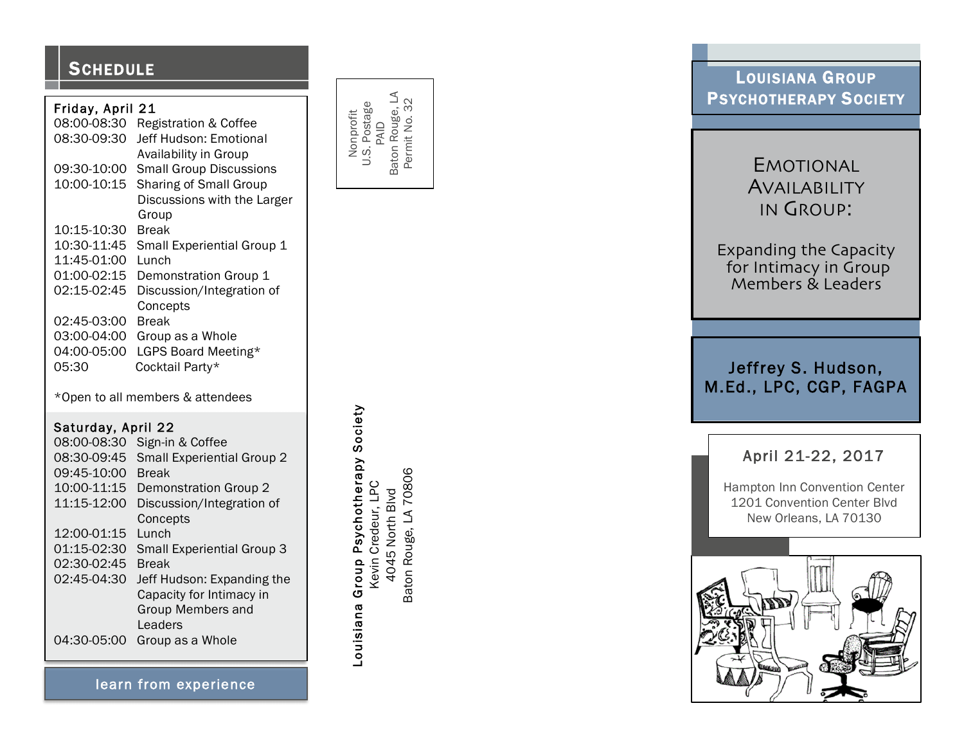### **SCHEDULE**

### Friday, April 21

| 08:00-08:30 | <b>Registration &amp; Coffee</b> |
|-------------|----------------------------------|
| 08:30-09:30 | Jeff Hudson: Emotional           |
|             | Availability in Group            |
| 09:30-10:00 | <b>Small Group Discussions</b>   |
| 10:00-10:15 | <b>Sharing of Small Group</b>    |
|             | Discussions with the Larger      |
|             | Group                            |
| 10:15-10:30 | Break                            |
| 10:30-11:45 | Small Experiential Group 1       |
| 11:45-01:00 | Lunch                            |
| 01:00-02:15 | Demonstration Group 1            |
| 02:15-02:45 | Discussion/Integration of        |
|             | Concepts                         |
| 02:45-03:00 | Break                            |
| 03:00-04:00 | Group as a Whole                 |
| 04:00-05:00 | LGPS Board Meeting*              |
| 05:30       | Cocktail Party*                  |

\*Open to all members & attendees

### Saturday, April 22

| 08:00-08:30 | Sign-in & Coffee                  |
|-------------|-----------------------------------|
| 08:30-09:45 | Small Experiential Group 2        |
| 09:45-10:00 | <b>Break</b>                      |
| 10:00-11:15 | Demonstration Group 2             |
| 11:15-12:00 | Discussion/Integration of         |
|             | Concepts                          |
| 12:00-01:15 | Lunch                             |
| 01:15-02:30 | <b>Small Experiential Group 3</b> |
| 02:30-02:45 | <b>Break</b>                      |
| 02:45-04:30 | Jeff Hudson: Expanding the        |
|             | Capacity for Intimacy in          |
|             | Group Members and                 |
|             | Leaders                           |
| 04:30-05:00 | Group as a Whole                  |
|             |                                   |

Baton Rouge, LA<br>Permit No. 32 Baton Rouge, LA Permit No. 32 U.S. Postage Nonprofit PAID

Louisiana Group Psychotherapy Society Louisiana Group Psychotherapy Society Baton Rouge, LA 70806 Baton Rouge, LA 70806 Kevin Credeur, LPC Kevin Credeur, LPC 4045 North Blvd 4045 North Blvd

LOUISIANA GROUP PSYCHOTHERAPY SOCIETY

# EMOTIONAL AVAILABILITY IN GROUP :

Expanding the Capacity for Intimacy in Group Members & Leaders

Jeffrey S. Hudson, M.Ed., LPC, CGP, FAGPA

## April 21 -22, 2017

Hampton Inn Convention Center 1201 Convention Center Blvd New Orleans, LA 70130



learn from experience